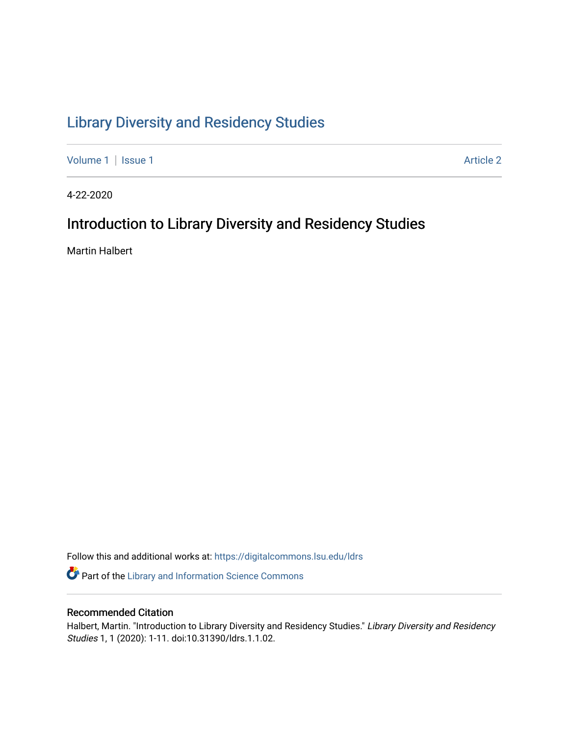# [Library Diversity and Residency Studies](https://digitalcommons.lsu.edu/ldrs)

[Volume 1](https://digitalcommons.lsu.edu/ldrs/vol1) | [Issue 1](https://digitalcommons.lsu.edu/ldrs/vol1/iss1) Article 2

4-22-2020

# Introduction to Library Diversity and Residency Studies

Martin Halbert

Follow this and additional works at: [https://digitalcommons.lsu.edu/ldrs](https://digitalcommons.lsu.edu/ldrs?utm_source=digitalcommons.lsu.edu%2Fldrs%2Fvol1%2Fiss1%2F2&utm_medium=PDF&utm_campaign=PDFCoverPages) 

**P** Part of the Library and Information Science Commons

# Recommended Citation

Halbert, Martin. "Introduction to Library Diversity and Residency Studies." Library Diversity and Residency Studies 1, 1 (2020): 1-11. doi:10.31390/ldrs.1.1.02.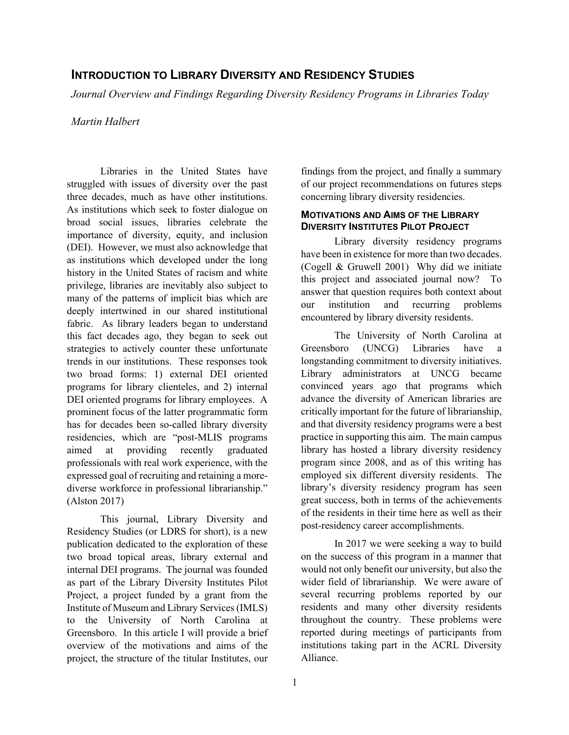# **INTRODUCTION TO LIBRARY DIVERSITY AND RESIDENCY STUDIES**

Journal Overview and Findings Regarding Diversity Residency Programs in Libraries Today<br>Martin Halbert

 struggled with issues of diversity over the past three decades, much as have other institutions. broad social issues, libraries celebrate the as institutions which developed under the long many of the patterns of implicit bias which are trends in our institutions. These responses took two broad forms: 1) external DEI oriented prominent focus of the latter programmatic form expressed goal of recruiting and retaining a more- diverse workforce in professional librarianship." Libraries in the United States have As institutions which seek to foster dialogue on importance of diversity, equity, and inclusion (DEI). However, we must also acknowledge that history in the United States of racism and white privilege, libraries are inevitably also subject to deeply intertwined in our shared institutional fabric. As library leaders began to understand this fact decades ago, they began to seek out strategies to actively counter these unfortunate programs for library clienteles, and 2) internal DEI oriented programs for library employees. A has for decades been so-called library diversity residencies, which are "post-MLIS programs aimed at providing recently graduated professionals with real work experience, with the (Alston 2017)

 two broad topical areas, library external and internal DEI programs. The journal was founded Project, a project funded by a grant from the Institute of Museum and Library Services (IMLS) Greensboro. In this article I will provide a brief overview of the motivations and aims of the This journal, Library Diversity and Residency Studies (or LDRS for short), is a new publication dedicated to the exploration of these as part of the Library Diversity Institutes Pilot to the University of North Carolina at project, the structure of the titular Institutes, our

findings from the project, and finally a summary of our project recommendations on futures steps concerning library diversity residencies.

# **MOTIVATIONS AND AIMS OF THE LIBRARY DIVERSITY INSTITUTES PILOT PROJECT**

 answer that question requires both context about Library diversity residency programs have been in existence for more than two decades. (Cogell & Gruwell 2001) Why did we initiate this project and associated journal now? To our institution and recurring problems encountered by library diversity residents.

 critically important for the future of librarianship, practice in supporting this aim. The main campus of the residents in their time here as well as their The University of North Carolina at Greensboro (UNCG) Libraries have a longstanding commitment to diversity initiatives. Library administrators at UNCG became convinced years ago that programs which advance the diversity of American libraries are and that diversity residency programs were a best library has hosted a library diversity residency program since 2008, and as of this writing has employed six different diversity residents. The library's diversity residency program has seen great success, both in terms of the achievements post-residency career accomplishments.

 on the success of this program in a manner that would not only benefit our university, but also the institutions taking part in the ACRL Diversity In 2017 we were seeking a way to build wider field of librarianship. We were aware of several recurring problems reported by our residents and many other diversity residents throughout the country. These problems were reported during meetings of participants from Alliance.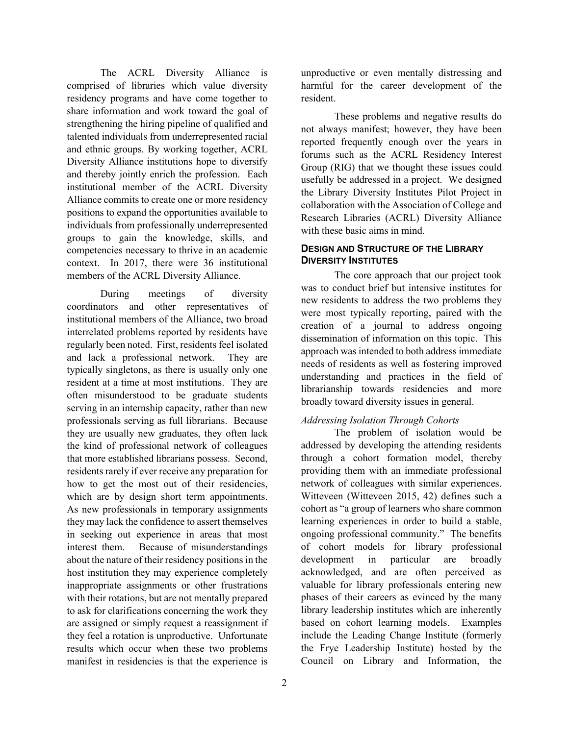comprised of libraries which value diversity share information and work toward the goal of positions to expand the opportunities available to competencies necessary to thrive in an academic The ACRL Diversity Alliance is residency programs and have come together to strengthening the hiring pipeline of qualified and talented individuals from underrepresented racial and ethnic groups. By working together, ACRL Diversity Alliance institutions hope to diversify and thereby jointly enrich the profession. Each institutional member of the ACRL Diversity Alliance commits to create one or more residency individuals from professionally underrepresented groups to gain the knowledge, skills, and context. In 2017, there were 36 institutional members of the ACRL Diversity Alliance.

 regularly been noted. First, residents feel isolated resident at a time at most institutions. They are serving in an internship capacity, rather than new that more established librarians possess. Second, how to get the most out of their residencies, which are by design short term appointments. which are by design short term appointments. As new professionals in temporary assignments they may lack the confidence to assert themselves interest them. about the nature of their residency positions in the host institution they may experience completely with their rotations, but are not mentally prepared During meetings of diversity coordinators and other representatives of institutional members of the Alliance, two broad interrelated problems reported by residents have and lack a professional network. They are typically singletons, as there is usually only one often misunderstood to be graduate students professionals serving as full librarians. Because they are usually new graduates, they often lack the kind of professional network of colleagues residents rarely if ever receive any preparation for in seeking out experience in areas that most Because of misunderstandings inappropriate assignments or other frustrations to ask for clarifications concerning the work they are assigned or simply request a reassignment if they feel a rotation is unproductive. Unfortunate results which occur when these two problems manifest in residencies is that the experience is

 harmful for the career development of the unproductive or even mentally distressing and resident.

 reported frequently enough over the years in usefully be addressed in a project. We designed collaboration with the Association of College and with these basic aims in mind. These problems and negative results do not always manifest; however, they have been forums such as the ACRL Residency Interest Group (RIG) that we thought these issues could the Library Diversity Institutes Pilot Project in Research Libraries (ACRL) Diversity Alliance

# **DESIGN AND STRUCTURE OF THE LIBRARY DIVERSITY INSTITUTES**

 The core approach that our project took was to conduct brief but intensive institutes for creation of a journal to address ongoing dissemination of information on this topic. This understanding and practices in the field of new residents to address the two problems they were most typically reporting, paired with the approach was intended to both address immediate needs of residents as well as fostering improved librarianship towards residencies and more broadly toward diversity issues in general.

# *Addressing Isolation Through Cohorts*

 network of colleagues with similar experiences. valuable for library professionals entering new The problem of isolation would be addressed by developing the attending residents through a cohort formation model, thereby providing them with an immediate professional Witteveen (Witteveen 2015, 42) defines such a cohort as "a group of learners who share common learning experiences in order to build a stable, ongoing professional community." The benefits of cohort models for library professional development in particular are broadly acknowledged, and are often perceived as phases of their careers as evinced by the many library leadership institutes which are inherently based on cohort learning models. Examples include the Leading Change Institute (formerly the Frye Leadership Institute) hosted by the Council on Library and Information, the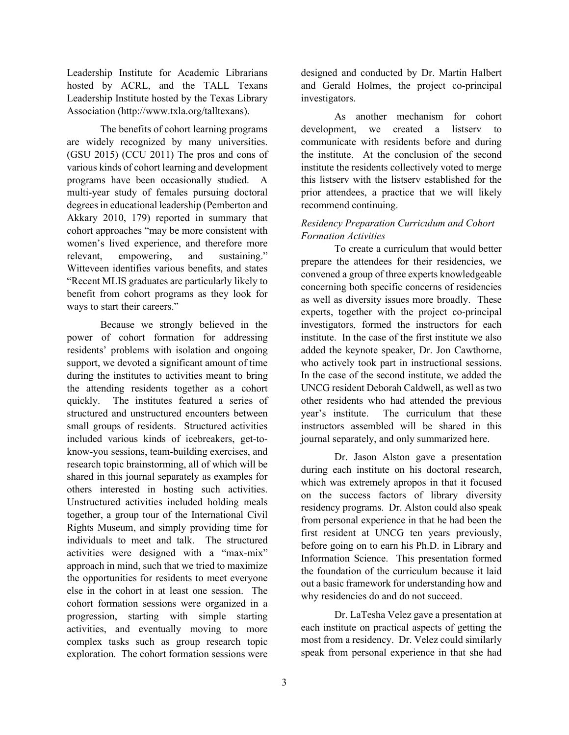Leadership Institute for Academic Librarians hosted by ACRL, and the TALL Texans Leadership Institute hosted by the Texas Library Association [\(http://www.txla.org/talltexans](http://www.txla.org/talltexans)).

are widely recognized by many universities. various kinds of cohort learning and development women's lived experience, and therefore more sustaining." The benefits of cohort learning programs  $(GSU 2015)$   $(CCU 2011)$  The pros and cons of programs have been occasionally studied. A multi-year study of females pursuing doctoral degrees in educational leadership (Pemberton and Akkary 2010, 179) reported in summary that cohort approaches "may be more consistent with relevant, empowering, and sustaining." Witteveen identifies various benefits, and states "Recent MLIS graduates are particularly likely to benefit from cohort programs as they look for ways to start their careers."

 power of cohort formation for addressing support, we devoted a significant amount of time the attending residents together as a cohort quickly. The institutes featured a series of small groups of residents. Structured activities others interested in hosting such activities. together, a group tour of the International Civil individuals to meet and talk. The structured approach in mind, such that we tried to maximize complex tasks such as group research topic Because we strongly believed in the residents' problems with isolation and ongoing during the institutes to activities meant to bring structured and unstructured encounters between included various kinds of icebreakers, get-toknow-you sessions, team-building exercises, and research topic brainstorming, all of which will be shared in this journal separately as examples for Unstructured activities included holding meals Rights Museum, and simply providing time for activities were designed with a "max-mix" the opportunities for residents to meet everyone else in the cohort in at least one session. The cohort formation sessions were organized in a progression, starting with simple starting activities, and eventually moving to more exploration. The cohort formation sessions were

designed and conducted by Dr. Martin Halbert and Gerald Holmes, the project co-principal investigators.

 communicate with residents before and during institute the residents collectively voted to merge this listserv with the listserv established for the As another mechanism for cohort development, we created a listserv to the institute. At the conclusion of the second prior attendees, a practice that we will likely recommend continuing.

# *Residency Preparation Curriculum and Cohort Formation Activities*

 To create a curriculum that would better convened a group of three experts knowledgeable concerning both specific concerns of residencies institute. In the case of the first institute we also who actively took part in instructional sessions. UNCG resident Deborah Caldwell, as well as two other residents who had attended the previous year's institute. instructors assembled will be shared in this prepare the attendees for their residencies, we as well as diversity issues more broadly. These experts, together with the project co-principal investigators, formed the instructors for each added the keynote speaker, Dr. Jon Cawthorne, In the case of the second institute, we added the The curriculum that these journal separately, and only summarized here.

 during each institute on his doctoral research, before going on to earn his Ph.D. in Library and the foundation of the curriculum because it laid out a basic framework for understanding how and why residencies do and do not succeed. Dr. Jason Alston gave a presentation which was extremely apropos in that it focused on the success factors of library diversity residency programs. Dr. Alston could also speak from personal experience in that he had been the first resident at UNCG ten years previously, Information Science. This presentation formed

 Dr. LaTesha Velez gave a presentation at speak from personal experience in that she had each institute on practical aspects of getting the most from a residency. Dr. Velez could similarly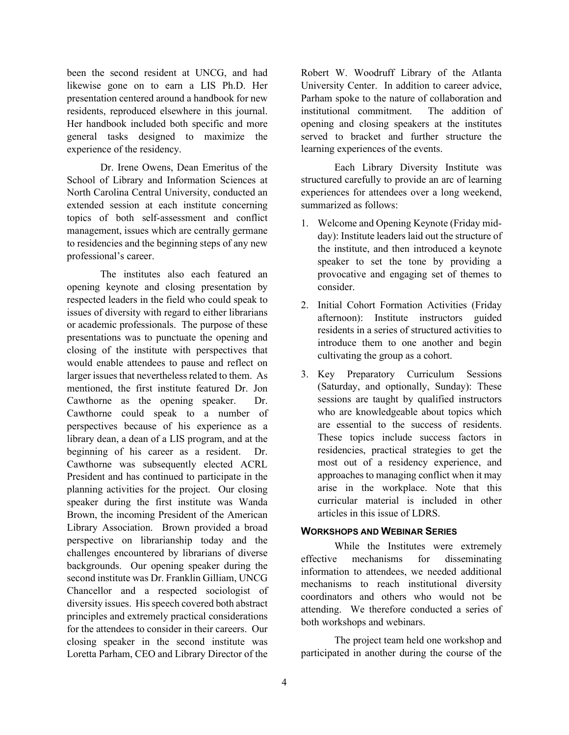residents, reproduced elsewhere in this journal. been the second resident at UNCG, and had likewise gone on to earn a LIS Ph.D. Her presentation centered around a handbook for new Her handbook included both specific and more general tasks designed to maximize the experience of the residency.

 Dr. Irene Owens, Dean Emeritus of the School of Library and Information Sciences at management, issues which are centrally germane North Carolina Central University, conducted an extended session at each institute concerning topics of both self-assessment and conflict to residencies and the beginning steps of any new professional's career.

 The institutes also each featured an respected leaders in the field who could speak to issues of diversity with regard to either librarians closing of the institute with perspectives that larger issues that nevertheless related to them. As library dean, a dean of a LIS program, and at the beginning of his career as a resident. Dr. planning activities for the project. Our closing Brown, the incoming President of the American backgrounds. Our opening speaker during the diversity issues. His speech covered both abstract for the attendees to consider in their careers. Our opening keynote and closing presentation by or academic professionals. The purpose of these presentations was to punctuate the opening and would enable attendees to pause and reflect on mentioned, the first institute featured Dr. Jon Cawthorne as the opening speaker. Dr. Cawthorne could speak to a number of perspectives because of his experience as a Cawthorne was subsequently elected ACRL President and has continued to participate in the speaker during the first institute was Wanda Library Association. Brown provided a broad perspective on librarianship today and the challenges encountered by librarians of diverse second institute was Dr. Franklin Gilliam, UNCG Chancellor and a respected sociologist of principles and extremely practical considerations closing speaker in the second institute was Loretta Parham, CEO and Library Director of the

 served to bracket and further structure the learning experiences of the events. Robert W. Woodruff Library of the Atlanta University Center. In addition to career advice, Parham spoke to the nature of collaboration and institutional commitment. The addition of opening and closing speakers at the institutes

 learning experiences of the events. Each Library Diversity Institute was experiences for attendees over a long weekend, structured carefully to provide an arc of learning summarized as follows:

- day): Institute leaders laid out the structure of speaker to set the tone by providing a provocative and engaging set of themes to 1. Welcome and Opening Keynote (Friday mid the institute, and then introduced a keynote consider.
- 2. Initial Cohort Formation Activities (Friday afternoon): Institute instructors guided residents in a series of structured activities to introduce them to one another and begin cultivating the group as a cohort.
- 3. Key Preparatory Curriculum Sessions (Saturday, and optionally, Sunday): These sessions are taught by qualified instructors are essential to the success of residents. approaches to managing conflict when it may who are knowledgeable about topics which These topics include success factors in residencies, practical strategies to get the most out of a residency experience, and arise in the workplace. Note that this curricular material is included in other articles in this issue of LDRS.

#### **WORKSHOPS AND WEBINAR SERIES**

 information to attendees, we needed additional mechanisms to reach institutional diversity coordinators and others who would not be While the Institutes were extremely effective mechanisms for disseminating attending. We therefore conducted a series of both workshops and webinars.

 The project team held one workshop and participated in another during the course of the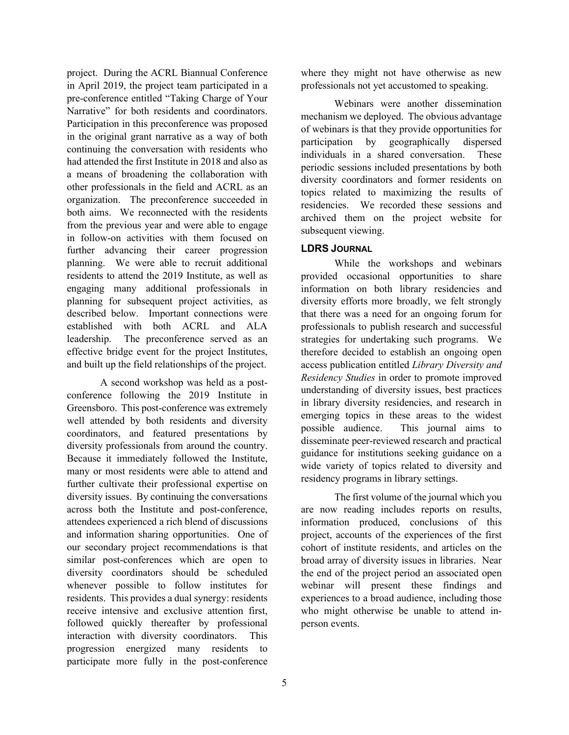project. During the ACRL Biannual Conference Narrative" for both residents and coordinators. organization. The preconference succeeded in both aims. We reconnected with the residents planning for subsequent project activities, as leadership. The preconference served as an effective bridge event for the project Institutes, and built up the field relationships of the project. in April 2019, the project team participated in a pre-conference entitled "Taking Charge of Your Participation in this preconference was proposed in the original grant narrative as a way of both continuing the conversation with residents who had attended the first Institute in 2018 and also as a means of broadening the collaboration with other professionals in the field and ACRL as an from the previous year and were able to engage in follow-on activities with them focused on further advancing their career progression planning. We were able to recruit additional residents to attend the 2019 Institute, as well as engaging many additional professionals in described below. Important connections were established with both ACRL and ALA

 well attended by both residents and diversity many or most residents were able to attend and attendees experienced a rich blend of discussions diversity coordinators should be scheduled residents. This provides a dual synergy: residents progression energized many residents to participate more fully in the post-conference A second workshop was held as a postconference following the 2019 Institute in Greensboro. This post-conference was extremely coordinators, and featured presentations by diversity professionals from around the country. Because it immediately followed the Institute, further cultivate their professional expertise on diversity issues. By continuing the conversations across both the Institute and post-conference, and information sharing opportunities. One of our secondary project recommendations is that similar post-conferences which are open to whenever possible to follow institutes for receive intensive and exclusive attention first, followed quickly thereafter by professional interaction with diversity coordinators. This

 where they might not have otherwise as new professionals not yet accustomed to speaking.

 mechanism we deployed. The obvious advantage of webinars is that they provide opportunities for topics related to maximizing the results of residencies. We recorded these sessions and Webinars were another dissemination participation by geographically dispersed individuals in a shared conversation. These periodic sessions included presentations by both diversity coordinators and former residents on archived them on the project website for subsequent viewing.

# **LDRS JOURNAL**

 information on both library residencies and diversity efforts more broadly, we felt strongly that there was a need for an ongoing forum for therefore decided to establish an ongoing open understanding of diversity issues, best practices emerging topics in these areas to the widest While the workshops and webinars provided occasional opportunities to share professionals to publish research and successful strategies for undertaking such programs. We access publication entitled *Library Diversity and Residency Studies* in order to promote improved in library diversity residencies, and research in possible audience. This journal aims to disseminate peer-reviewed research and practical guidance for institutions seeking guidance on a wide variety of topics related to diversity and residency programs in library settings.

 cohort of institute residents, and articles on the broad array of diversity issues in libraries. Near The first volume of the journal which you are now reading includes reports on results, information produced, conclusions of this project, accounts of the experiences of the first the end of the project period an associated open webinar will present these findings and experiences to a broad audience, including those who might otherwise be unable to attend inperson events.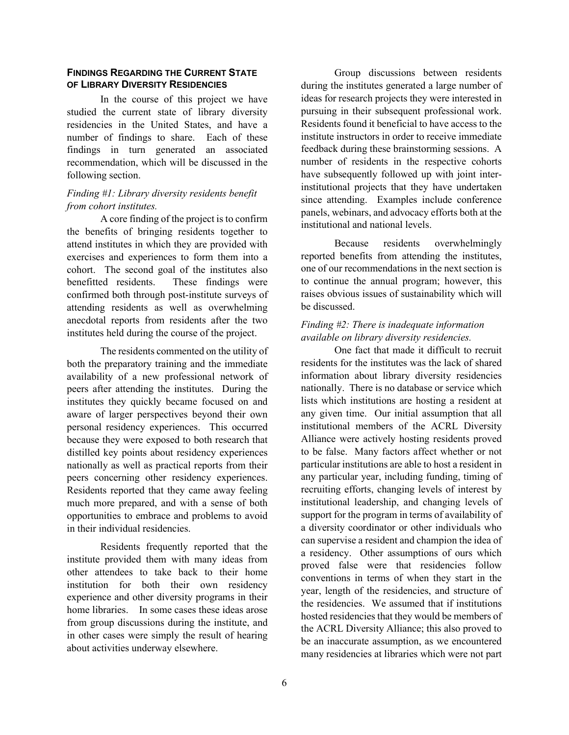# **FINDINGS REGARDING THE CURRENT STATE OF LIBRARY DIVERSITY RESIDENCIES**

 number of findings to share. Each of these recommendation, which will be discussed in the In the course of this project we have studied the current state of library diversity residencies in the United States, and have a findings in turn generated an associated following section.

# *Finding #1: Library diversity residents benefit from cohort institutes.*

 exercises and experiences to form them into a cohort. The second goal of the institutes also anecdotal reports from residents after the two institutes held during the course of the project. A core finding of the project is to confirm the benefits of bringing residents together to attend institutes in which they are provided with benefitted residents. These findings were confirmed both through post-institute surveys of attending residents as well as overwhelming

peers concerning other residency experiences. The residents commented on the utility of both the preparatory training and the immediate availability of a new professional network of peers after attending the institutes. During the institutes they quickly became focused on and aware of larger perspectives beyond their own personal residency experiences. This occurred because they were exposed to both research that distilled key points about residency experiences nationally as well as practical reports from their Residents reported that they came away feeling much more prepared, and with a sense of both opportunities to embrace and problems to avoid in their individual residencies.

 institution for both their own residency in other cases were simply the result of hearing Residents frequently reported that the institute provided them with many ideas from other attendees to take back to their home experience and other diversity programs in their home libraries. In some cases these ideas arose from group discussions during the institute, and about activities underway elsewhere.

 during the institutes generated a large number of Residents found it beneficial to have access to the institute instructors in order to receive immediate feedback during these brainstorming sessions. A have subsequently followed up with joint inter- panels, webinars, and advocacy efforts both at the Group discussions between residents ideas for research projects they were interested in pursuing in their subsequent professional work. number of residents in the respective cohorts institutional projects that they have undertaken since attending. Examples include conference institutional and national levels.

 one of our recommendations in the next section is to continue the annual program; however, this Because residents overwhelmingly reported benefits from attending the institutes, raises obvious issues of sustainability which will be discussed.

# *Finding #2: There is inadequate information available on library diversity residencies.*

 institutional members of the ACRL Diversity Alliance were actively hosting residents proved to be false. Many factors affect whether or not particular institutions are able to host a resident in support for the program in terms of availability of can supervise a resident and champion the idea of conventions in terms of when they start in the the residencies. We assumed that if institutions One fact that made it difficult to recruit residents for the institutes was the lack of shared information about library diversity residencies nationally. There is no database or service which lists which institutions are hosting a resident at any given time. Our initial assumption that all any particular year, including funding, timing of recruiting efforts, changing levels of interest by institutional leadership, and changing levels of a diversity coordinator or other individuals who a residency. Other assumptions of ours which proved false were that residencies follow year, length of the residencies, and structure of hosted residencies that they would be members of the ACRL Diversity Alliance; this also proved to be an inaccurate assumption, as we encountered many residencies at libraries which were not part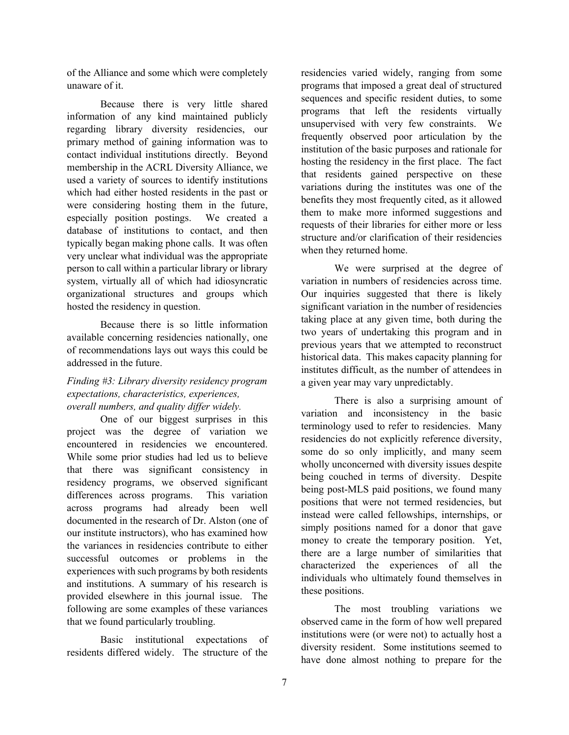of the Alliance and some which were completely unaware of it.

 primary method of gaining information was to contact individual institutions directly. Beyond especially position postings. We created a Because there is very little shared information of any kind maintained publicly regarding library diversity residencies, our membership in the ACRL Diversity Alliance, we used a variety of sources to identify institutions which had either hosted residents in the past or were considering hosting them in the future, database of institutions to contact, and then typically began making phone calls. It was often very unclear what individual was the appropriate person to call within a particular library or library system, virtually all of which had idiosyncratic organizational structures and groups which hosted the residency in question.

 Because there is so little information available concerning residencies nationally, one of recommendations lays out ways this could be addressed in the future.

# *Finding #3: Library diversity residency program expectations, characteristics, experiences, overall numbers, and quality differ widely.*

encountered in residencies we encountered. encountered in residencies we encountered. While some prior studies had led us to believe differences across programs. This variation our institute instructors), who has examined how provided elsewhere in this journal issue. The that we found particularly troubling. One of our biggest surprises in this project was the degree of variation we that there was significant consistency in residency programs, we observed significant across programs had already been well documented in the research of Dr. Alston (one of the variances in residencies contribute to either successful outcomes or problems in the experiences with such programs by both residents and institutions. A summary of his research is following are some examples of these variances

 Basic institutional expectations of residents differed widely. The structure of the

 residencies varied widely, ranging from some programs that imposed a great deal of structured unsupervised with very few constraints. We institution of the basic purposes and rationale for hosting the residency in the first place. The fact variations during the institutes was one of the benefits they most frequently cited, as it allowed requests of their libraries for either more or less structure and/or clarification of their residencies sequences and specific resident duties, to some programs that left the residents virtually frequently observed poor articulation by the that residents gained perspective on these them to make more informed suggestions and when they returned home.

variation in numbers of residencies across time. variation in numbers of residencies across time. Our inquiries suggested that there is likely historical data. This makes capacity planning for institutes difficult, as the number of attendees in We were surprised at the degree of significant variation in the number of residencies taking place at any given time, both during the two years of undertaking this program and in previous years that we attempted to reconstruct a given year may vary unpredictably.

 simply positions named for a donor that gave There is also a surprising amount of variation and inconsistency in the basic terminology used to refer to residencies. Many residencies do not explicitly reference diversity, some do so only implicitly, and many seem wholly unconcerned with diversity issues despite being couched in terms of diversity. Despite being post-MLS paid positions, we found many positions that were not termed residencies, but instead were called fellowships, internships, or money to create the temporary position. Yet, there are a large number of similarities that characterized the experiences of all the individuals who ultimately found themselves in these positions.

 institutions were (or were not) to actually host a diversity resident. Some institutions seemed to have done almost nothing to prepare for the The most troubling variations we observed came in the form of how well prepared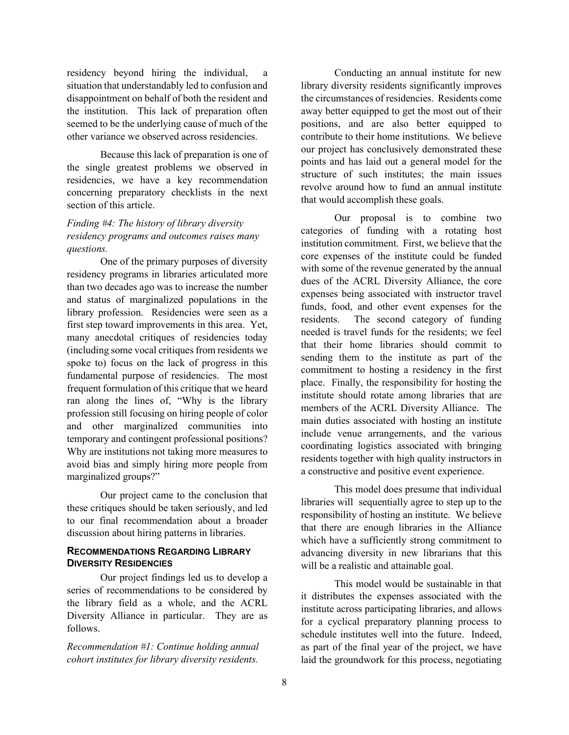the institution. This lack of preparation often seemed to be the underlying cause of much of the residency beyond hiring the individual, situation that understandably led to confusion and disappointment on behalf of both the resident and other variance we observed across residencies.

 the single greatest problems we observed in Because this lack of preparation is one of residencies, we have a key recommendation concerning preparatory checklists in the next section of this article.

# *Finding #4: The history of library diversity residency programs and outcomes raises many questions.*

 first step toward improvements in this area. Yet, spoke to) focus on the lack of progress in this frequent formulation of this critique that we heard ran along the lines of, "Why is the library temporary and contingent professional positions? avoid bias and simply hiring more people from One of the primary purposes of diversity residency programs in libraries articulated more than two decades ago was to increase the number and status of marginalized populations in the library profession. Residencies were seen as a many anecdotal critiques of residencies today (including some vocal critiques from residents we fundamental purpose of residencies. The most profession still focusing on hiring people of color and other marginalized communities into Why are institutions not taking more measures to marginalized groups?"

 Our project came to the conclusion that to our final recommendation about a broader these critiques should be taken seriously, and led discussion about hiring patterns in libraries.

#### **RECOMMENDATIONS REGARDING LIBRARY DIVERSITY RESIDENCIES**

Our project findings led us to develop a series of recommendations to be considered by the library field as a whole, and the ACRL Diversity Alliance in particular. They are as follows.

*Recommendation #1: Continue holding annual cohort institutes for library diversity residents.* 

 library diversity residents significantly improves away better equipped to get the most out of their positions, and are also better equipped to points and has laid out a general model for the Conducting an annual institute for new the circumstances of residencies. Residents come contribute to their home institutions. We believe our project has conclusively demonstrated these structure of such institutes; the main issues revolve around how to fund an annual institute that would accomplish these goals.

 institution commitment. First, we believe that the core expenses of the institute could be funded with some of the revenue generated by the annual residents. The second category of funding sending them to the institute as part of the commitment to hosting a residency in the first institute should rotate among libraries that are members of the ACRL Diversity Alliance. The a constructive and positive event experience. Our proposal is to combine two categories of funding with a rotating host dues of the ACRL Diversity Alliance, the core expenses being associated with instructor travel funds, food, and other event expenses for the needed is travel funds for the residents; we feel that their home libraries should commit to place. Finally, the responsibility for hosting the main duties associated with hosting an institute include venue arrangements, and the various coordinating logistics associated with bringing residents together with high quality instructors in

 responsibility of hosting an institute. We believe advancing diversity in new librarians that this This model does presume that individual libraries will sequentially agree to step up to the that there are enough libraries in the Alliance which have a sufficiently strong commitment to will be a realistic and attainable goal.

 it distributes the expenses associated with the schedule institutes well into the future. Indeed, This model would be sustainable in that institute across participating libraries, and allows for a cyclical preparatory planning process to as part of the final year of the project, we have laid the groundwork for this process, negotiating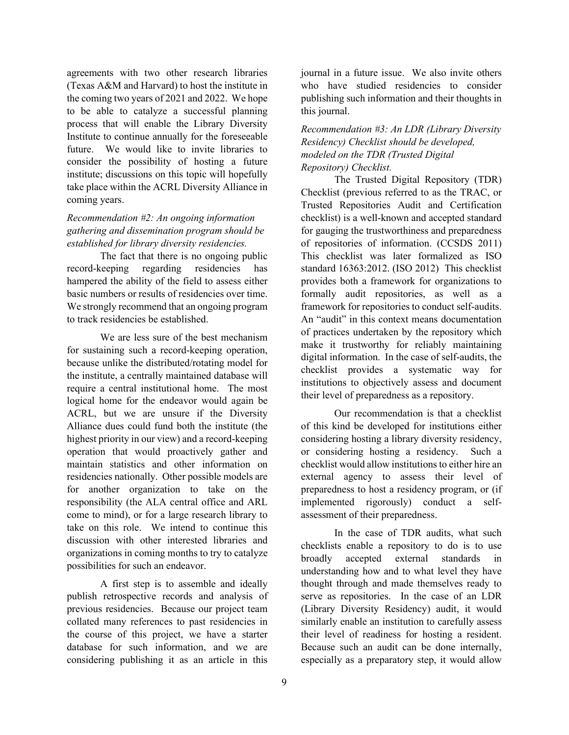agreements with two other research libraries (Texas A&M and Harvard) to host the institute in Institute to continue annually for the foreseeable future. We would like to invite libraries to consider the possibility of hosting a future institute; discussions on this topic will hopefully the coming two years of 2021 and 2022. We hope to be able to catalyze a successful planning process that will enable the Library Diversity take place within the ACRL Diversity Alliance in coming years.

# *Recommendation #2: An ongoing information gathering and dissemination program should be established for library diversity residencies.*

 The fact that there is no ongoing public basic numbers or results of residencies over time. record-keeping regarding residencies has hampered the ability of the field to assess either We strongly recommend that an ongoing program to track residencies be established.

 We are less sure of the best mechanism require a central institutional home. The most Alliance dues could fund both the institute (the operation that would proactively gather and residencies nationally. Other possible models are for another organization to take on the come to mind), or for a large research library to take on this role. We intend to continue this for sustaining such a record-keeping operation, because unlike the distributed/rotating model for the institute, a centrally maintained database will logical home for the endeavor would again be ACRL, but we are unsure if the Diversity highest priority in our view) and a record-keeping maintain statistics and other information on responsibility (the ALA central office and ARL discussion with other interested libraries and organizations in coming months to try to catalyze possibilities for such an endeavor.

 publish retrospective records and analysis of collated many references to past residencies in the course of this project, we have a starter database for such information, and we are A first step is to assemble and ideally previous residencies. Because our project team considering publishing it as an article in this

 publishing such information and their thoughts in journal in a future issue. We also invite others who have studied residencies to consider this journal.

 *Residency) Checklist should be developed, Recommendation #3: An LDR (Library Diversity modeled on the TDR (Trusted Digital Repository) Checklist.* 

 Checklist (previous referred to as the TRAC, or of repositories of information. (CCSDS 2011) standard 16363:2012. (ISO 2012) This checklist framework for repositories to conduct self-audits. their level of preparedness as a repository. The Trusted Digital Repository (TDR) Trusted Repositories Audit and Certification checklist) is a well-known and accepted standard for gauging the trustworthiness and preparedness This checklist was later formalized as ISO provides both a framework for organizations to formally audit repositories, as well as a An "audit" in this context means documentation of practices undertaken by the repository which make it trustworthy for reliably maintaining digital information. In the case of self-audits, the checklist provides a systematic way for institutions to objectively assess and document

 of this kind be developed for institutions either checklist would allow institutions to either hire an external agency to assess their level of Our recommendation is that a checklist considering hosting a library diversity residency, or considering hosting a residency. Such a preparedness to host a residency program, or (if implemented rigorously) conduct a selfassessment of their preparedness.

 their level of readiness for hosting a resident. Because such an audit can be done internally, In the case of TDR audits, what such checklists enable a repository to do is to use broadly accepted external standards in understanding how and to what level they have thought through and made themselves ready to serve as repositories. In the case of an LDR (Library Diversity Residency) audit, it would similarly enable an institution to carefully assess especially as a preparatory step, it would allow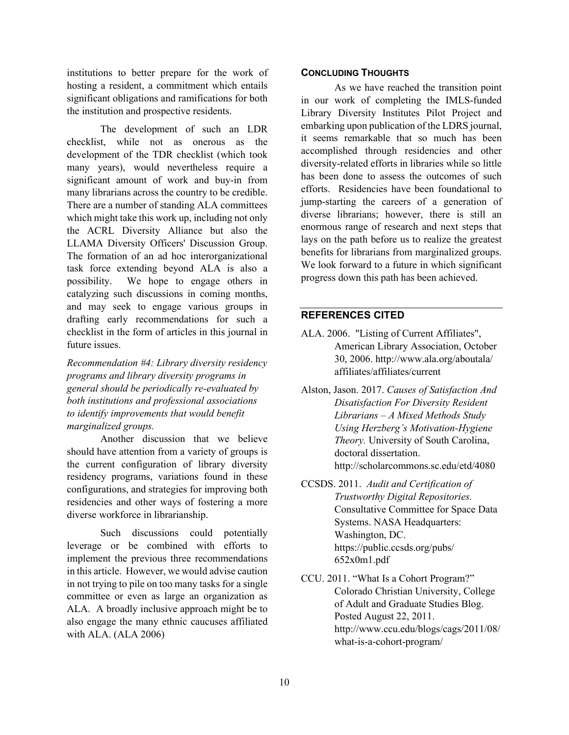institutions to better prepare for the work of significant obligations and ramifications for both hosting a resident, a commitment which entails the institution and prospective residents.

 checklist, while not as onerous as the many years), would nevertheless require a many librarians across the country to be credible. which might take this work up, including not only drafting early recommendations for such a checklist in the form of articles in this journal in The development of such an LDR development of the TDR checklist (which took significant amount of work and buy-in from There are a number of standing ALA committees the ACRL Diversity Alliance but also the LLAMA Diversity Officers' Discussion Group. The formation of an ad hoc interorganizational task force extending beyond ALA is also a possibility. We hope to engage others in catalyzing such discussions in coming months, and may seek to engage various groups in future issues.

 *programs and library diversity programs in Recommendation #4: Library diversity residency general should be periodically re-evaluated by both institutions and professional associations to identify improvements that would benefit marginalized groups.* 

 should have attention from a variety of groups is Another discussion that we believe the current configuration of library diversity residency programs, variations found in these configurations, and strategies for improving both residencies and other ways of fostering a more diverse workforce in librarianship.

 ALA. A broadly inclusive approach might be to Such discussions could potentially leverage or be combined with efforts to implement the previous three recommendations in this article. However, we would advise caution in not trying to pile on too many tasks for a single committee or even as large an organization as also engage the many ethnic caucuses affiliated with ALA. (ALA 2006)

#### **CONCLUDING THOUGHTS**

 Library Diversity Institutes Pilot Project and embarking upon publication of the LDRS journal, it seems remarkable that so much has been diversity-related efforts in libraries while so little efforts. Residencies have been foundational to enormous range of research and next steps that benefits for librarians from marginalized groups. progress down this path has been achieved. As we have reached the transition point in our work of completing the IMLS-funded accomplished through residencies and other has been done to assess the outcomes of such jump-starting the careers of a generation of diverse librarians; however, there is still an lays on the path before us to realize the greatest We look forward to a future in which significant

#### **REFERENCES CITED**

- ALA. 2006. "Listing of Current Affiliates", American Library Association, October 30, 2006. [http://www.ala.org/aboutala/](http://www.ala.org/aboutala) affiliates/affiliates/current
- Alston, Jason. 2017. *Causes of Satisfaction And Librarians – A Mixed Methods Study Disatisfaction For Diversity Resident Using Herzberg's Motivation-Hygiene Theory.* University of South Carolina, doctoral dissertation. <http://scholarcommons.sc.edu/etd/4080>
- CCSDS. 2011. *Audit and Certification of Trustworthy Digital Repositories.*  Consultative Committee for Space Data Systems. NASA Headquarters: Washington, DC. [https://public.ccsds.org/pubs/](https://public.ccsds.org/pubs) 652x0m1.pdf

CCU. 2011. "What Is a Cohort Program?" Colorado Christian University, College of Adult and Graduate Studies Blog. Posted August 22, 2011. <http://www.ccu.edu/blogs/cags/2011/08>/ what-is-a-cohort-program/